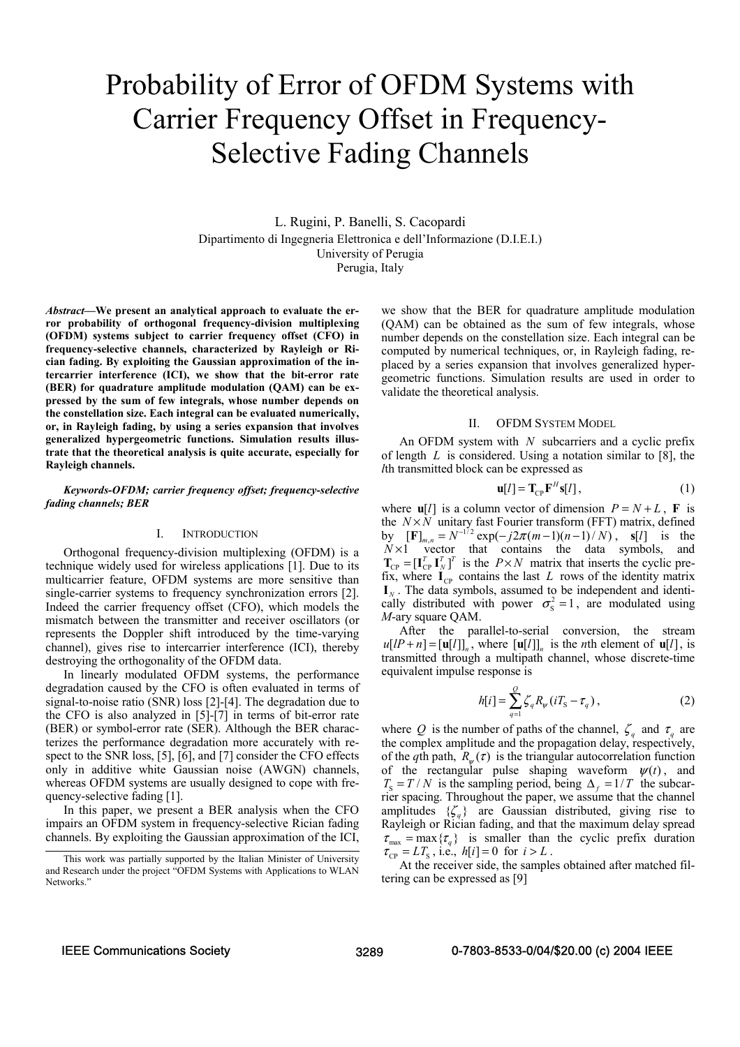# Probability of Error of OFDM Systems with Carrier Frequency Offset in Frequency-Selective Fading Channels

L. Rugini, P. Banelli, S. Cacopardi Dipartimento di Ingegneria Elettronica e dell'Informazione (D.I.E.I.) University of Perugia Perugia, Italy

*Abstract***—We present an analytical approach to evaluate the error probability of orthogonal frequency-division multiplexing (OFDM) systems subject to carrier frequency offset (CFO) in frequency-selective channels, characterized by Rayleigh or Rician fading. By exploiting the Gaussian approximation of the intercarrier interference (ICI), we show that the bit-error rate (BER) for quadrature amplitude modulation (QAM) can be expressed by the sum of few integrals, whose number depends on the constellation size. Each integral can be evaluated numerically, or, in Rayleigh fading, by using a series expansion that involves generalized hypergeometric functions. Simulation results illustrate that the theoretical analysis is quite accurate, especially for Rayleigh channels.** 

# *Keywords-OFDM; carrier frequency offset; frequency-selective fading channels; BER*

#### I. INTRODUCTION

Orthogonal frequency-division multiplexing (OFDM) is a technique widely used for wireless applications [1]. Due to its multicarrier feature, OFDM systems are more sensitive than single-carrier systems to frequency synchronization errors [2]. Indeed the carrier frequency offset (CFO), which models the mismatch between the transmitter and receiver oscillators (or represents the Doppler shift introduced by the time-varying channel), gives rise to intercarrier interference (ICI), thereby destroying the orthogonality of the OFDM data.

In linearly modulated OFDM systems, the performance degradation caused by the CFO is often evaluated in terms of signal-to-noise ratio (SNR) loss [2]-[4]. The degradation due to the CFO is also analyzed in [5]-[7] in terms of bit-error rate (BER) or symbol-error rate (SER). Although the BER characterizes the performance degradation more accurately with respect to the SNR loss, [5], [6], and [7] consider the CFO effects only in additive white Gaussian noise (AWGN) channels, whereas OFDM systems are usually designed to cope with frequency-selective fading [1].

In this paper, we present a BER analysis when the CFO impairs an OFDM system in frequency-selective Rician fading channels. By exploiting the Gaussian approximation of the ICI, we show that the BER for quadrature amplitude modulation (QAM) can be obtained as the sum of few integrals, whose number depends on the constellation size. Each integral can be computed by numerical techniques, or, in Rayleigh fading, replaced by a series expansion that involves generalized hypergeometric functions. Simulation results are used in order to validate the theoretical analysis.

#### II. OFDM SYSTEM MODEL

An OFDM system with *N* subcarriers and a cyclic prefix of length *L* is considered. Using a notation similar to [8], the *l*th transmitted block can be expressed as

$$
\mathbf{u}[l] = \mathbf{T}_{\mathrm{CP}} \mathbf{F}^H \mathbf{s}[l],\tag{1}
$$

where  $\mathbf{u}[l]$  is a column vector of dimension  $P = N + L$ , **F** is the  $N \times N$  unitary fast Fourier transform (FFT) matrix, defined by  $[\mathbf{F}]_{m,n} = N^{-1/2} \exp(-j2\pi(m-1)(n-1)/N)$ ,  $\mathbf{s}[l]$  is the  $N \times 1$  vector that contains the data symbols, and  $T_{\text{CP}} = [\mathbf{I}_{\text{CP}}^T \ \mathbf{I}_{N}^T]^T$  is the  $P \times N$  matrix that inserts the cyclic prefix, where  $I_{CP}$  contains the last *L* rows of the identity matrix  $\mathbf{I}_N$ . The data symbols, assumed to be independent and identically distributed with power  $\sigma_s^2 = 1$ , are modulated using *M*-ary square QAM.

After the parallel-to-serial conversion, the stream  $u[IP + n] = [u[1]]_n$ , where  $[u[1]]_n$  is the *n*th element of  $u[1]$ , is transmitted through a multipath channel, whose discrete-time equivalent impulse response is

$$
h[i] = \sum_{q=1}^{Q} \zeta_q R_{\psi} (i T_{\rm S} - \tau_q), \qquad (2)
$$

where *Q* is the number of paths of the channel,  $\zeta_q$  and  $\tau_q$  are the complex amplitude and the propagation delay, respectively, of the *q*th path,  $R_{\psi}(\tau)$  is the triangular autocorrelation function of the rectangular pulse shaping waveform  $\psi(t)$ , and  $T_s = T/N$  is the sampling period, being  $\Delta_f = 1/T$  the subcarrier spacing. Throughout the paper, we assume that the channel amplitudes  ${*z*<sub>a</sub>}$  are Gaussian distributed, giving rise to Rayleigh or Rician fading, and that the maximum delay spread  $\tau_{\text{max}} = \max \{ \tau_q \}$  is smaller than the cyclic prefix duration  $\tau_{\rm CP} = LT_{\rm S}$ , i.e.,  $h[i] = 0$  for  $i > L$ .

At the receiver side, the samples obtained after matched filtering can be expressed as [9]

This work was partially supported by the Italian Minister of University and Research under the project "OFDM Systems with Applications to WLAN Networks.'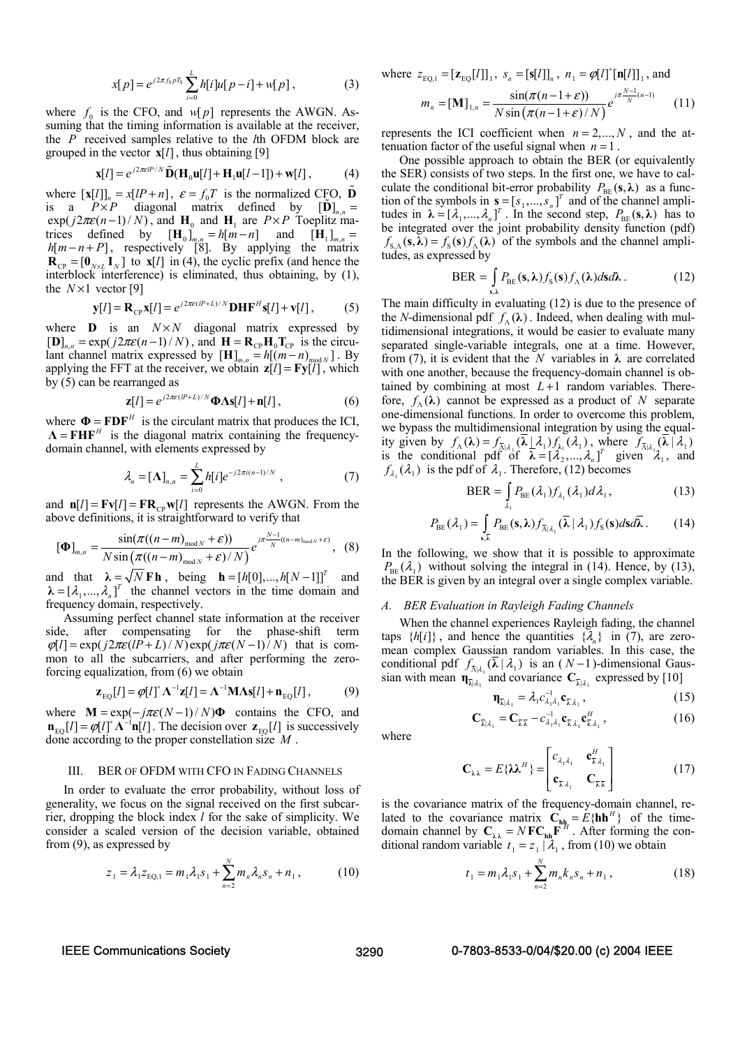$$
x[p] = e^{j2\pi f_0 p T_S} \sum_{i=0}^{L} h[i] u[p-i] + w[p], \qquad (3)
$$

where  $f_0$  is the CFO, and  $w[p]$  represents the AWGN. Assuming that the timing information is available at the receiver, the *P* received samples relative to the *l*th OFDM block are grouped in the vector  $\mathbf{x}[l]$ , thus obtaining [9]

$$
\mathbf{x}[l] = e^{j2\pi\epsilon l^p/N} \tilde{\mathbf{D}}(\mathbf{H}_0 \mathbf{u}[l] + \mathbf{H}_1 \mathbf{u}[l-1]) + \mathbf{w}[l],
$$
 (4)

where  $[\mathbf{x}[l]]_n = x[lP + n]$ ,  $\varepsilon = f_0T$  is the normalized CFO,  $\mathbf{D}$ is a  $P \times P$  diagonal matrix defined by  $[D]_{n,n}$  =  $\exp(j2\pi\varepsilon(n-1)/N)$ , and  $H_0$  and  $H_1$  are  $P \times P$  Toeplitz matrices defined by  $[\mathbf{H}_0]_{m,n} = h[m-n]$  and  $[\mathbf{H}_1]_{m,n} =$  $h[m - n + P]$ , respectively [8]. By applying the matrix  $\mathbf{R}_{\text{CP}} = [\mathbf{0}_{N \times L} \mathbf{I}_N]$  to  $\mathbf{x}[l]$  in (4), the cyclic prefix (and hence the interblock interference) is eliminated, thus obtaining, by (1), the  $N \times 1$  vector [9]

$$
\mathbf{y}[l] = \mathbf{R}_{\mathrm{CP}} \mathbf{x}[l] = e^{j2\pi\epsilon(lP+L)/N} \mathbf{D} \mathbf{H} \mathbf{F}^H \mathbf{s}[l] + \mathbf{v}[l],\tag{5}
$$

where  $\mathbf{D}$  is an  $N \times N$  diagonal matrix expressed by  $[\mathbf{D}]_{n,n} = \exp(j2\pi\varepsilon(n-1)/N)$ , and  $\mathbf{H} = \mathbf{R}_{CP} \mathbf{H}_0 \mathbf{T}_{CP}$  is the circulant channel matrix expressed by  $[H]_{m,n} = h[(m-n)_{mod N}]$ . By applying the FFT at the receiver, we obtain  $z[l] = Fy[l]$ , which by (5) can be rearranged as

$$
\mathbf{z}[l] = e^{j2\pi\epsilon(lP+L)/N}\mathbf{\Phi}\Lambda\mathbf{s}[l]+\mathbf{n}[l],
$$
 (6)

where  $\Phi = \mathbf{FDF}^H$  is the circulant matrix that produces the ICI,  $\mathbf{\Lambda} = \mathbf{FHF}^H$  is the diagonal matrix containing the frequencydomain channel, with elements expressed by

$$
\lambda_n = [\Lambda]_{n,n} = \sum_{i=0}^{L} h[i] e^{-j2\pi i (n-1)/N}, \qquad (7)
$$

and  $\mathbf{n}[l] = \mathbf{F} \mathbf{v}[l] = \mathbf{F} \mathbf{R}_{CP} \mathbf{w}[l]$  represents the AWGN. From the above definitions, it is straightforward to verify that

$$
\left[\mathbf{\Phi}\right]_{m,n} = \frac{\sin(\pi((n-m)_{\text{mod }N} + \varepsilon))}{N\sin(\pi((n-m)_{\text{mod }N} + \varepsilon)/N)}e^{j\pi\frac{N-1}{N}((n-m)_{\text{mod }N} + \varepsilon)}, \quad (8)
$$

and that  $\lambda = \sqrt{N} \mathbf{F} \mathbf{h}$ , being  $\mathbf{h} = [h[0],...,h[N-1]]^T$  and  $\lambda = [\lambda_1, ..., \lambda_n]^T$  the channel vectors in the time domain and frequency domain, respectively.

Assuming perfect channel state information at the receiver side, after compensating for the phase-shift term  $\varphi[l] = \exp(j2\pi\varepsilon (lP + L)/N) \exp(j\pi\varepsilon (N-1)/N)$  that is common to all the subcarriers, and after performing the zeroforcing equalization, from (6) we obtain

$$
\mathbf{z}_{\text{EQ}}[l] = \varphi[l]^* \mathbf{\Lambda}^{-1} \mathbf{z}[l] = \mathbf{\Lambda}^{-1} \mathbf{M} \mathbf{\Lambda} \mathbf{s}[l] + \mathbf{n}_{\text{EQ}}[l],\tag{9}
$$

where  $M = \exp(-j\pi \varepsilon (N-1) / N) \Phi$  contains the CFO, and  $\mathbf{n}_{\text{FO}}[l] = \varphi[l]^* \mathbf{\Lambda}^{-1} \mathbf{n}[l]$ . The decision over  $\mathbf{z}_{\text{FO}}[l]$  is successively done according to the proper constellation size *M* .

# III. BER OF OFDM WITH CFO IN FADING CHANNELS

In order to evaluate the error probability, without loss of generality, we focus on the signal received on the first subcarrier, dropping the block index *l* for the sake of simplicity. We consider a scaled version of the decision variable, obtained from (9), as expressed by

$$
z_1 = \lambda_1 z_{\text{EQ},1} = m_1 \lambda_1 s_1 + \sum_{n=2}^{N} m_n \lambda_n s_n + n_1, \qquad (10)
$$

where  $z_{EQ,1} = [\mathbf{z}_{EQ} [l]]_1$ ,  $s_n = [\mathbf{s}[l]]_n$ ,  $n_1 = \varphi [l]^* [\mathbf{n}[l]]_1$ , and

$$
m_n = [\mathbf{M}]_{1,n} = \frac{\sin(\pi(n-1+\varepsilon))}{N\sin(\pi(n-1+\varepsilon)/N)}e^{j\pi\frac{N-1}{N}(n-1)} \qquad (11)
$$

represents the ICI coefficient when  $n = 2,..., N$ , and the attenuation factor of the useful signal when  $n = 1$ .

One possible approach to obtain the BER (or equivalently the SER) consists of two steps. In the first one, we have to calculate the conditional bit-error probability  $P_{\text{BE}}(s, \lambda)$  as a function of the symbols in  $\mathbf{s} = [s_1, ..., s_n]^T$  and of the channel amplitudes in  $\lambda = [\lambda_1, ..., \lambda_n]^T$ . In the second step,  $P_{BE}(\mathbf{s}, \lambda)$  has to be integrated over the joint probability density function (pdf)  $f_{S \wedge}(\mathbf{s}, \lambda) = f_{S}(\mathbf{s}) f_{\wedge}(\lambda)$  of the symbols and the channel amplitudes, as expressed by

$$
\text{BER} = \int_{\mathbf{s},\lambda} P_{\text{BE}}(\mathbf{s}, \lambda) f_{\text{S}}(\mathbf{s}) f_{\text{A}}(\lambda) d\mathbf{s} d\lambda. \tag{12}
$$

The main difficulty in evaluating (12) is due to the presence of the *N*-dimensional pdf  $f_{\lambda}(\lambda)$ . Indeed, when dealing with multidimensional integrations, it would be easier to evaluate many separated single-variable integrals, one at a time. However, from (7), it is evident that the *N* variables in  $\lambda$  are correlated with one another, because the frequency-domain channel is obtained by combining at most  $L+1$  random variables. Therefore,  $f_{\Lambda}(\lambda)$  cannot be expressed as a product of *N* separate one-dimensional functions. In order to overcome this problem, we bypass the multidimensional integration by using the equality given by  $f_{\Lambda}(\lambda) = f_{\overline{\Lambda}|\lambda_1}(\lambda_1) f_{\lambda_1}(\lambda_1)$ , where  $f_{\overline{\Lambda}|\lambda_1}(\lambda_1)$ is the conditional pdf of  $\overline{\lambda} = [\lambda_2^1, ..., \lambda_n]^T$  given  $\lambda_1$ , and  $f_{\lambda_1}(\lambda_1)$  is the pdf of  $\lambda_1$ . Therefore, (12) becomes

$$
BER = \int_{\lambda_1} P_{BE}(\lambda_1) f_{\lambda_1}(\lambda_1) d\lambda_1,
$$
 (13)

$$
P_{\text{BE}}(\lambda_1) = \int_{\mathbf{s},\overline{\lambda}} P_{\text{BE}}(\mathbf{s}, \lambda) f_{\overline{\lambda}|\lambda_1}(\overline{\lambda} | \lambda_1) f_{\text{S}}(\mathbf{s}) d\mathbf{s} d\overline{\lambda}.
$$
 (14)

In the following, we show that it is possible to approximate  $P_{\text{BE}}(\lambda_1)$  without solving the integral in (14). Hence, by (13), the BER is given by an integral over a single complex variable.

#### *A. BER Evaluation in Rayleigh Fading Channels*

When the channel experiences Rayleigh fading, the channel taps  $\{h[i]\}$ , and hence the quantities  $\{\lambda_n\}$  in (7), are zeromean complex Gaussian random variables. In this case, the conditional pdf  $f_{\bar{\Lambda}|\lambda_1}(\lambda | \lambda_1)$  is an  $(N-1)$ -dimensional Gaussian with mean  $\eta_{\overline{\lambda}|\lambda_1}$  and covariance  $C_{\overline{\lambda}|\lambda_1}$  expressed by [10]

$$
\mathbf{\eta}_{\overline{\lambda}|\lambda_1} = \lambda_1 c_{\lambda_1 \lambda_1}^{-1} \mathbf{c}_{\overline{\lambda} \lambda_1}, \qquad (15)
$$

$$
\mathbf{C}_{\overline{\lambda}|\lambda_1} = \mathbf{C}_{\overline{\lambda}\overline{\lambda}} - c_{\lambda_1\lambda_1}^{-1} \mathbf{c}_{\overline{\lambda}\lambda_1} \mathbf{c}_{\overline{\lambda}\lambda_1}^H,
$$
 (16)

where

$$
\mathbf{C}_{\lambda\lambda} = E\{\lambda\lambda^H\} = \begin{bmatrix} c_{\lambda_1\lambda_1} & \mathbf{c}_{\overline{\lambda}\lambda_1}^H \\ \mathbf{c}_{\overline{\lambda}\lambda_1} & \mathbf{C}_{\overline{\lambda}\overline{\lambda}} \end{bmatrix}
$$
(17)

is the covariance matrix of the frequency-domain channel, related to the covariance matrix  ${\bf C}_{\bf h h} = E\{{\bf h}{\bf h}^H\}$  of the timedomain channel by  $C_{\lambda \lambda} = N F C_{hh} F^{H}$ . After forming the conditional random variable  $t_1 = z_1 | \lambda_1$ , from (10) we obtain

$$
t_1 = m_1 \lambda_1 s_1 + \sum_{n=2}^{N} m_n k_n s_n + n_1 ,
$$
 (18)

### IEEE Communications Society 3290 0-7803-8533-0/04/\$20.00 (c) 2004 IEEE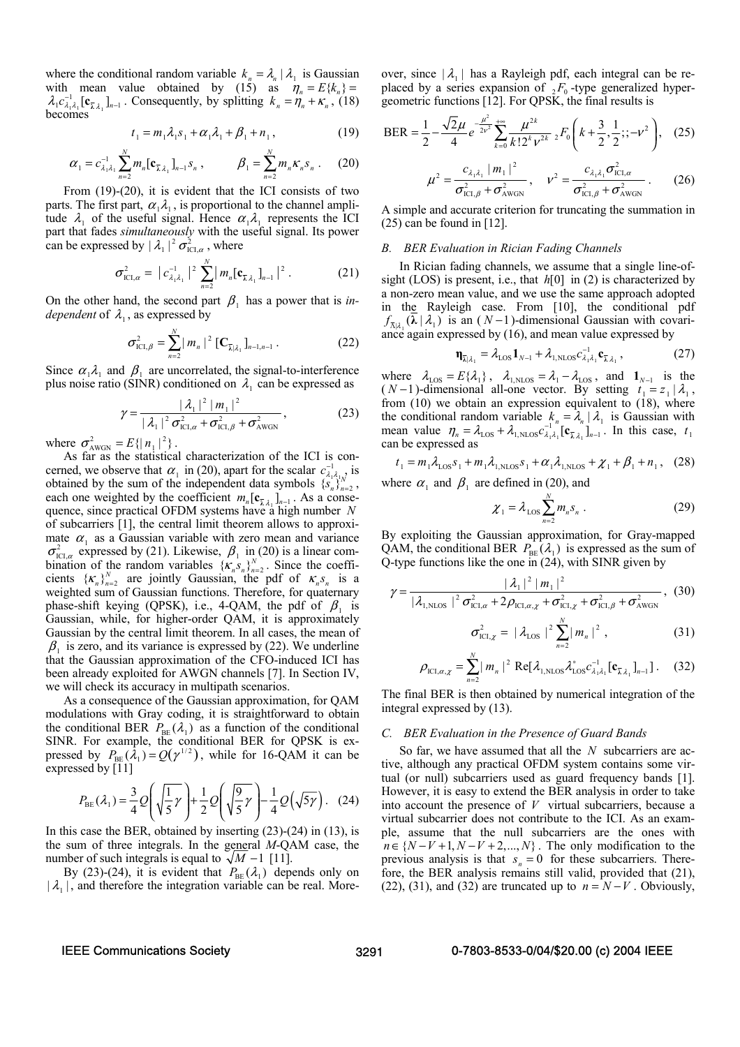where the conditional random variable  $k_n = \lambda_n | \lambda_1$  is Gaussian with mean value obtained by (15) as  $\eta_n = E\{k_n\}$  $\lambda_1 c_{\lambda_1 \lambda_1}^{-1} [\mathbf{c}_{\overline{\lambda} \lambda_1}]_{n-1}$ . Consequently, by splitting  $k_n = \eta_n + \kappa_n$ , (18) becomes

$$
t_1 = m_1 \lambda_1 s_1 + \alpha_1 \lambda_1 + \beta_1 + n_1, \qquad (19)
$$

$$
\alpha_1 = c_{\lambda_1 \lambda_1}^{-1} \sum_{n=2}^{N} m_n [\mathbf{c}_{\bar{\lambda} \lambda_1}]_{n-1} s_n , \qquad \beta_1 = \sum_{n=2}^{N} m_n \kappa_n s_n . \qquad (20)
$$

From (19)-(20), it is evident that the ICI consists of two parts. The first part,  $\alpha_1 \lambda_1$ , is proportional to the channel amplitude  $\lambda_1$  of the useful signal. Hence  $\alpha_1 \lambda_1$  represents the ICI part that fades *simultaneously* with the useful signal. Its power can be expressed by  $|\lambda_1|^2 \sigma_{\text{ICI}, \alpha}^2$ , where

$$
\sigma_{\text{ICI},\alpha}^2 = |c_{\lambda_1\lambda_1}^{-1}|^2 \sum_{n=2}^N |m_n[c_{\overline{\lambda}\lambda_1}]_{n-1}|^2.
$$
 (21)

On the other hand, the second part  $\beta_1$  has a power that is *independent* of  $\lambda_1$ , as expressed by

$$
\sigma_{\text{ICI},\beta}^{2} = \sum_{n=2}^{N} |m_{n}|^{2} [\mathbf{C}_{\overline{\lambda}|\lambda_{1}}]_{n-1,n-1}.
$$
 (22)

Since  $\alpha_1 \lambda_1$  and  $\beta_1$  are uncorrelated, the signal-to-interference plus noise ratio (SINR) conditioned on  $\lambda_1$  can be expressed as

$$
\gamma = \frac{|\lambda_1|^2 |m_1|^2}{|\lambda_1|^2 \sigma_{\text{ICL},a}^2 + \sigma_{\text{ICL},\beta}^2 + \sigma_{\text{AWGN}}^2},
$$
(23)

where  $\sigma_{\text{AWGN}}^2 = E\{ |n_1|^2 \}$ .

As far as the statistical characterization of the ICI is concerned, we observe that  $\alpha_1$  in (20), apart for the scalar  $c_{\lambda_1 \lambda_1}^{-1}$  is obtained by the sum of the independent data symbols  $\{S_n\}_{n=2}^{N}$ , each one weighted by the coefficient  $m_n [ c_{\bar{\lambda} \lambda_1}]_{n-1}$ . As a consequence, since practical OFDM systems have a high number *N* of subcarriers [1], the central limit theorem allows to approximate  $\alpha_1$  as a Gaussian variable with zero mean and variance  $\sigma_{\text{ICL},\alpha}^2$  expressed by (21). Likewise,  $\beta_1$  in (20) is a linear combination of the random variables  $\{K_n S_n\}_{n=2}^N$ . Since the coefficients  $\{K_n\}_{n=2}^N$  are jointly Gaussian, the pdf of  $K_nS_n$  is a weighted sum of Gaussian functions. Therefore, for quaternary phase-shift keying (QPSK), i.e., 4-QAM, the pdf of  $\beta_1$  is Gaussian, while, for higher-order QAM, it is approximately Gaussian by the central limit theorem. In all cases, the mean of  $\beta_1$  is zero, and its variance is expressed by (22). We underline that the Gaussian approximation of the CFO-induced ICI has been already exploited for AWGN channels [7]. In Section IV, we will check its accuracy in multipath scenarios.

As a consequence of the Gaussian approximation, for QAM modulations with Gray coding, it is straightforward to obtain the conditional BER  $P_{BE}(\lambda_1)$  as a function of the conditional SINR. For example, the conditional BER for QPSK is expressed by  $P_{BE}(\lambda_1) = Q(\gamma^{1/2})$ , while for 16-QAM it can be expressed by [11]

$$
P_{\text{BE}}(\lambda_1) = \frac{3}{4} Q \left( \sqrt{\frac{1}{5} \gamma} \right) + \frac{1}{2} Q \left( \sqrt{\frac{9}{5} \gamma} \right) - \frac{1}{4} Q \left( \sqrt{5 \gamma} \right). \quad (24)
$$

In this case the BER, obtained by inserting (23)-(24) in (13), is the sum of three integrals. In the general *M*-QAM case, the number of such integrals is equal to  $\sqrt{M}$  −1 [11].

By (23)-(24), it is evident that  $P_{BE}(\lambda_1)$  depends only on  $|\lambda_1|$ , and therefore the integration variable can be real. More-

over, since  $|\lambda_1|$  has a Rayleigh pdf, each integral can be replaced by a series expansion of  $_2F_0$ -type generalized hypergeometric functions [12]. For QPSK, the final results is

$$
\text{BER} = \frac{1}{2} - \frac{\sqrt{2}\mu}{4} e^{-\frac{\mu^2}{2\nu^2}} \sum_{k=0}^{+\infty} \frac{\mu^{2k}}{k! 2^k \nu^{2k}} \, {}_2F_0\left(k + \frac{3}{2}, \frac{1}{2}; -\nu^2\right), \quad (25)
$$

$$
\mu^{2} = \frac{c_{\lambda_{1}\lambda_{1}}|m_{1}|^{2}}{\sigma_{\text{ICL},\beta}^{2} + \sigma_{\text{AWGN}}^{2}}, \quad \nu^{2} = \frac{c_{\lambda_{1}\lambda_{1}}\sigma_{\text{ICL},\alpha}^{2}}{\sigma_{\text{ICL},\beta}^{2} + \sigma_{\text{AWGN}}^{2}}.
$$
 (26)

A simple and accurate criterion for truncating the summation in (25) can be found in [12].

#### *B. BER Evaluation in Rician Fading Channels*

In Rician fading channels, we assume that a single line-ofsight (LOS) is present, i.e., that  $h[0]$  in (2) is characterized by a non-zero mean value, and we use the same approach adopted in the Rayleigh case. From [10], the conditional pdf  $f_{\bar{\lambda}^{[2]}}(\lambda | \lambda_1)$  is an  $(N-1)$ -dimensional Gaussian with covariance again expressed by (16), and mean value expressed by

$$
\mathbf{\eta}_{\overline{\lambda}|\lambda_1} = \lambda_{\text{LOS}} \mathbf{1}_{N-1} + \lambda_{1,\text{NLOS}} c_{\lambda_1 \lambda_1}^{-1} \mathbf{c}_{\overline{\lambda} \lambda_1},\tag{27}
$$

where  $\lambda_{\text{LOS}} = E\{\lambda_1\}$ ,  $\lambda_{1,\text{NLOS}} = \lambda_1 - \lambda_{\text{LOS}}$ , and  $\mathbf{1}_{N-1}$  is the (  $N-1$ )-dimensional all-one vector. By setting  $t_1 = z_1 | \lambda_1$ , from (10) we obtain an expression equivalent to (18), where the conditional random variable  $k_n = \lambda_n | \lambda_1$  is Gaussian with mean value  $\eta_n = \lambda_{\text{LOS}} + \lambda_{\text{1,NLOS}} c_{\lambda_1 \lambda_1}^{-1} [\mathbf{c}_{\overline{\lambda} \lambda_1}]_{n-1}$ . In this case,  $t_1$ can be expressed as

$$
t_1 = m_1 \lambda_{\text{LOS}} s_1 + m_1 \lambda_{1,\text{NLOS}} s_1 + \alpha_1 \lambda_{1,\text{NLOS}} + \chi_1 + \beta_1 + n_1, \quad (28)
$$

where  $\alpha_1$  and  $\beta_1$  are defined in (20), and

$$
\chi_1 = \lambda_{\text{LOS}} \sum_{n=2}^{N} m_n s_n \,. \tag{29}
$$

By exploiting the Gaussian approximation, for Gray-mapped QAM, the conditional BER  $P_{BE}(\lambda_1)$  is expressed as the sum of Q-type functions like the one in (24), with SINR given by

$$
\gamma = \frac{|\lambda_1|^2 |m_1|^2}{|\lambda_{1,\text{NLOS}}|^2 \sigma_{\text{ICL},\alpha}^2 + 2\rho_{\text{ICL},\alpha,\chi} + \sigma_{\text{ICL},\chi}^2 + \sigma_{\text{ICL},\beta}^2 + \sigma_{\text{AWGN}}^2}, (30)
$$

$$
\sigma_{\text{ICI},\chi}^2 = |\lambda_{\text{LOS}}|^2 \sum_{n=2}^N |m_n|^2 , \qquad (31)
$$

$$
\rho_{\text{ICI}, \alpha, \chi} = \sum_{n=2}^{N} |m_n|^2 \text{ Re}[\lambda_{1, \text{NLOS}} \lambda_{\text{LOS}}^* c_{\lambda_1 \lambda_1}^{-1} [\mathbf{c}_{\bar{\lambda} \lambda_1}]_{n-1}] \,. \tag{32}
$$

The final BER is then obtained by numerical integration of the integral expressed by (13).

#### *C. BER Evaluation in the Presence of Guard Bands*

So far, we have assumed that all the *N* subcarriers are active, although any practical OFDM system contains some virtual (or null) subcarriers used as guard frequency bands [1]. However, it is easy to extend the BER analysis in order to take into account the presence of  $V$  virtual subcarriers, because a virtual subcarrier does not contribute to the ICI. As an example, assume that the null subcarriers are the ones with  $n \in \{N-V+1, N-V+2,..., N\}$ . The only modification to the previous analysis is that  $s_n = 0$  for these subcarriers. Therefore, the BER analysis remains still valid, provided that (21), (22), (31), and (32) are truncated up to  $n = N - V$ . Obviously,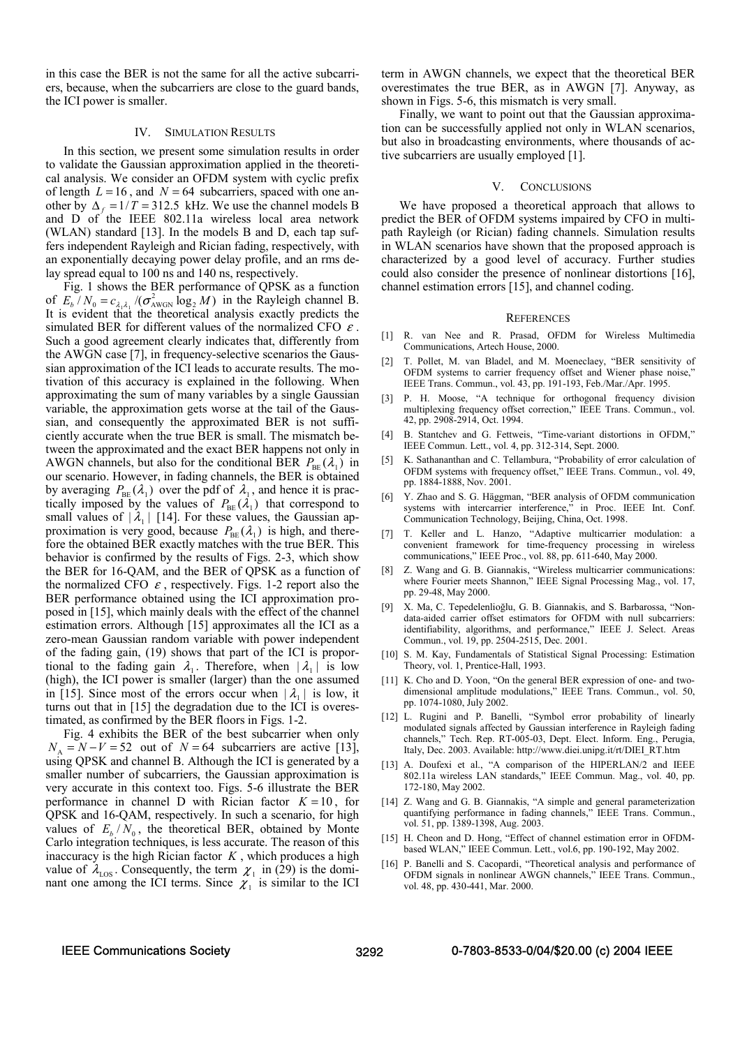in this case the BER is not the same for all the active subcarriers, because, when the subcarriers are close to the guard bands, the ICI power is smaller.

### IV. SIMULATION RESULTS

In this section, we present some simulation results in order to validate the Gaussian approximation applied in the theoretical analysis. We consider an OFDM system with cyclic prefix of length  $L = 16$ , and  $N = 64$  subcarriers, spaced with one another by  $\Delta_f = 1/T = 312.5$  kHz. We use the channel models B and D of the IEEE 802.11a wireless local area network (WLAN) standard [13]. In the models B and D, each tap suffers independent Rayleigh and Rician fading, respectively, with an exponentially decaying power delay profile, and an rms delay spread equal to 100 ns and 140 ns, respectively.

Fig. 1 shows the BER performance of QPSK as a function of  $E_b/N_0 = c_{\lambda_1 \lambda_1} / (\sigma_{\text{AWGN}}^2 \log_2 M)$  in the Rayleigh channel B. It is evident that the theoretical analysis exactly predicts the simulated BER for different values of the normalized CFO  $\varepsilon$ . Such a good agreement clearly indicates that, differently from the AWGN case [7], in frequency-selective scenarios the Gaussian approximation of the ICI leads to accurate results. The motivation of this accuracy is explained in the following. When approximating the sum of many variables by a single Gaussian variable, the approximation gets worse at the tail of the Gaussian, and consequently the approximated BER is not sufficiently accurate when the true BER is small. The mismatch between the approximated and the exact BER happens not only in AWGN channels, but also for the conditional BER  $P_{\text{BE}}(\lambda_1)$  in our scenario. However, in fading channels, the BER is obtained by averaging  $P_{\text{BE}}(\lambda_1)$  over the pdf of  $\lambda_1$ , and hence it is practically imposed by the values of  $P_{BE}(\lambda_1)$  that correspond to small values of  $|\lambda_1|$  [14]. For these values, the Gaussian approximation is very good, because  $P_{BE}(\lambda_1)$  is high, and therefore the obtained BER exactly matches with the true BER. This behavior is confirmed by the results of Figs. 2-3, which show the BER for 16-QAM, and the BER of QPSK as a function of the normalized CFO  $\varepsilon$ , respectively. Figs. 1-2 report also the BER performance obtained using the ICI approximation proposed in [15], which mainly deals with the effect of the channel estimation errors. Although [15] approximates all the ICI as a zero-mean Gaussian random variable with power independent of the fading gain, (19) shows that part of the ICI is proportional to the fading gain  $\lambda_1$ . Therefore, when  $|\lambda_1|$  is low (high), the ICI power is smaller (larger) than the one assumed in [15]. Since most of the errors occur when  $|\lambda_1|$  is low, it turns out that in [15] the degradation due to the ICI is overestimated, as confirmed by the BER floors in Figs. 1-2.

Fig. 4 exhibits the BER of the best subcarrier when only  $N_A = N - V = 52$  out of  $N = 64$  subcarriers are active [13], using QPSK and channel B. Although the ICI is generated by a smaller number of subcarriers, the Gaussian approximation is very accurate in this context too. Figs. 5-6 illustrate the BER performance in channel D with Rician factor  $K = 10$ , for QPSK and 16-QAM, respectively. In such a scenario, for high values of  $E_b / N_0$ , the theoretical BER, obtained by Monte Carlo integration techniques, is less accurate. The reason of this inaccuracy is the high Rician factor *K* , which produces a high value of  $\lambda_{\text{LOS}}$ . Consequently, the term  $\chi_1$  in (29) is the dominant one among the ICI terms. Since  $\chi_1$  is similar to the ICI

term in AWGN channels, we expect that the theoretical BER overestimates the true BER, as in AWGN [7]. Anyway, as shown in Figs. 5-6, this mismatch is very small.

Finally, we want to point out that the Gaussian approximation can be successfully applied not only in WLAN scenarios, but also in broadcasting environments, where thousands of active subcarriers are usually employed [1].

#### V. CONCLUSIONS

We have proposed a theoretical approach that allows to predict the BER of OFDM systems impaired by CFO in multipath Rayleigh (or Rician) fading channels. Simulation results in WLAN scenarios have shown that the proposed approach is characterized by a good level of accuracy. Further studies could also consider the presence of nonlinear distortions [16], channel estimation errors [15], and channel coding.

#### **REFERENCES**

- [1] R. van Nee and R. Prasad, OFDM for Wireless Multimedia Communications, Artech House, 2000.
- [2] T. Pollet, M. van Bladel, and M. Moeneclaey, "BER sensitivity of OFDM systems to carrier frequency offset and Wiener phase noise," IEEE Trans. Commun., vol. 43, pp. 191-193, Feb./Mar./Apr. 1995.
- [3] P. H. Moose, "A technique for orthogonal frequency division multiplexing frequency offset correction," IEEE Trans. Commun., vol. 42, pp. 2908-2914, Oct. 1994.
- [4] B. Stantchev and G. Fettweis, "Time-variant distortions in OFDM," IEEE Commun. Lett., vol. 4, pp. 312-314, Sept. 2000.
- [5] K. Sathananthan and C. Tellambura, "Probability of error calculation of OFDM systems with frequency offset," IEEE Trans. Commun., vol. 49, pp. 1884-1888, Nov. 2001.
- [6] Y. Zhao and S. G. Häggman, "BER analysis of OFDM communication systems with intercarrier interference," in Proc. IEEE Int. Conf. Communication Technology, Beijing, China, Oct. 1998.
- [7] T. Keller and L. Hanzo, "Adaptive multicarrier modulation: a convenient framework for time-frequency processing in wireless communications," IEEE Proc., vol. 88, pp. 611-640, May 2000.
- [8] Z. Wang and G. B. Giannakis, "Wireless multicarrier communications: where Fourier meets Shannon," IEEE Signal Processing Mag., vol. 17, pp. 29-48, May 2000.
- [9] X. Ma, C. Tepedelenlioğlu, G. B. Giannakis, and S. Barbarossa, "Nondata-aided carrier offset estimators for OFDM with null subcarriers: identifiability, algorithms, and performance," IEEE J. Select. Areas Commun., vol. 19, pp. 2504-2515, Dec. 2001.
- [10] S. M. Kay, Fundamentals of Statistical Signal Processing: Estimation Theory, vol. 1, Prentice-Hall, 1993.
- [11] K. Cho and D. Yoon, "On the general BER expression of one- and twodimensional amplitude modulations," IEEE Trans. Commun., vol. 50, pp. 1074-1080, July 2002.
- [12] L. Rugini and P. Banelli, "Symbol error probability of linearly modulated signals affected by Gaussian interference in Rayleigh fading channels," Tech. Rep. RT-005-03, Dept. Elect. Inform. Eng., Perugia, Italy, Dec. 2003. Available: http://www.diei.unipg.it/rt/DIEI\_RT.htm
- [13] A. Doufexi et al., "A comparison of the HIPERLAN/2 and IEEE 802.11a wireless LAN standards," IEEE Commun. Mag., vol. 40, pp. 172-180, May 2002.
- [14] Z. Wang and G. B. Giannakis, "A simple and general parameterization quantifying performance in fading channels," IEEE Trans. Commun., vol. 51, pp. 1389-1398, Aug. 2003.
- [15] H. Cheon and D. Hong, "Effect of channel estimation error in OFDMbased WLAN," IEEE Commun. Lett., vol.6, pp. 190-192, May 2002.
- [16] P. Banelli and S. Cacopardi, "Theoretical analysis and performance of OFDM signals in nonlinear AWGN channels," IEEE Trans. Commun., vol. 48, pp. 430-441, Mar. 2000.